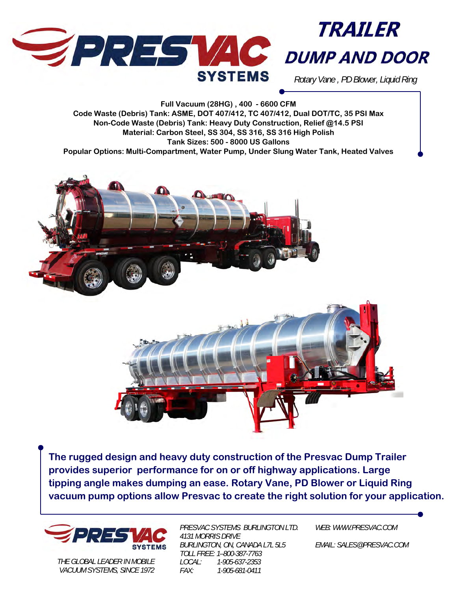



*Rotary Vane , PD Blower, Liquid Ring* 

**Full Vacuum (28HG) , 400 - 6600 CFM Code Waste (Debris) Tank: ASME, DOT 407/412, TC 407/412, Dual DOT/TC, 35 PSI Max Non-Code Waste (Debris) Tank: Heavy Duty Construction, Relief @14.5 PSI Material: Carbon Steel, SS 304, SS 316, SS 316 High Polish Tank Sizes: 500 - 8000 US Gallons Popular Options: Multi-Compartment, Water Pump, Under Slung Water Tank, Heated Valves** 





**The rugged design and heavy duty construction of the Presvac Dump Trailer provides superior performance for on or off highway applications. Large tipping angle makes dumping an ease. Rotary Vane, PD Blower or Liquid Ring vacuum pump options allow Presvac to create the right solution for your application.** 



*THE GLOBAL LEADER IN MOBILE VACUUM SYSTEMS, SINCE 1972* 

*PRESVAC SYSTEMS BURLINGTON LTD. 4131 MORRIS DRIVE BURLINGTON, ON, CANADA L7L 5L5 TOLL FREE: 1–800-387-7763 LOCAL: 1-905-637-2353 FAX: 1-905-681-0411* 

*WEB: WWW.PRESVAC.COM* 

*EMAIL: SALES@PRESVAC.COM*